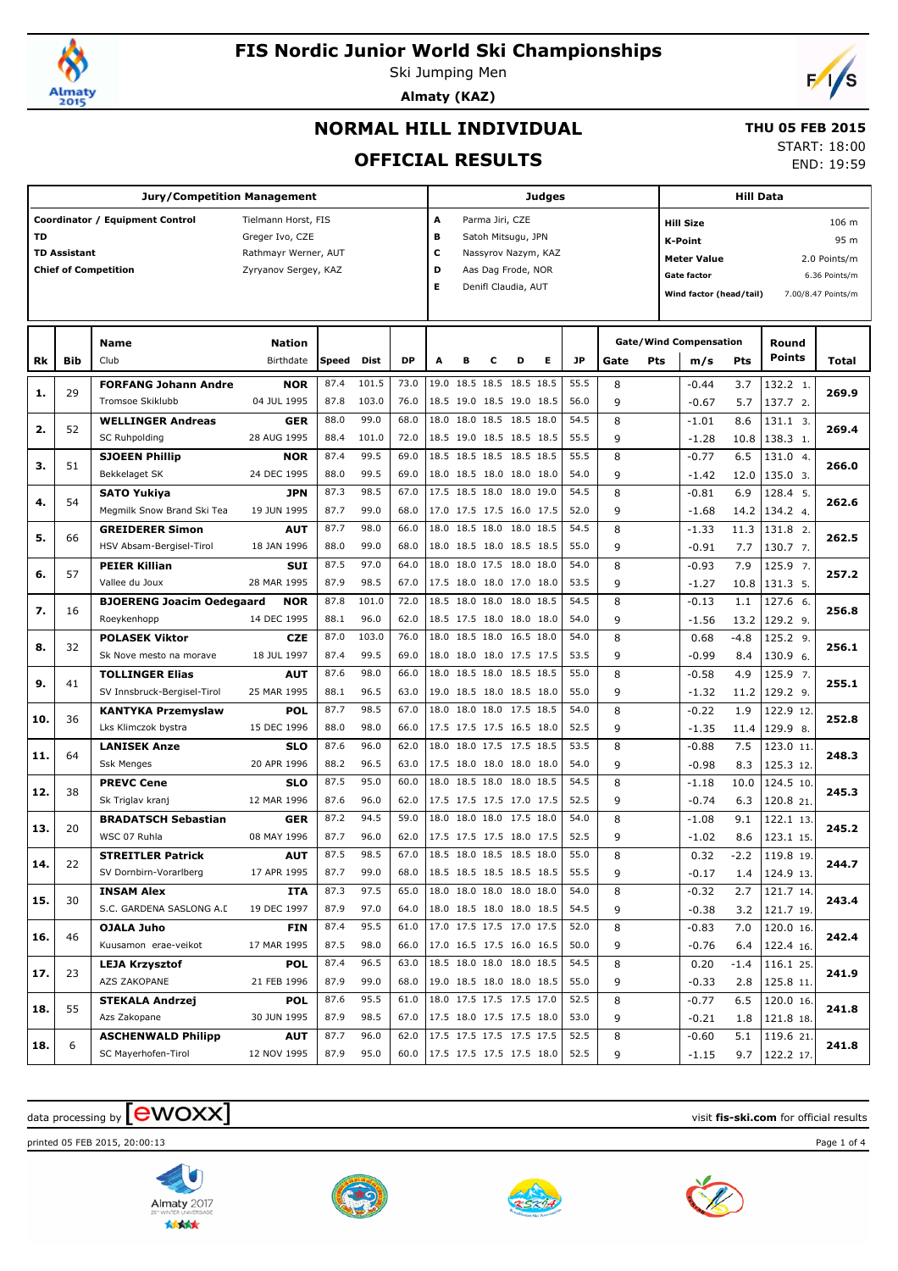

# **FIS Nordic Junior World Ski Championships**

Ski Jumping Men **Almaty (KAZ)**



# **NORMAL HILL INDIVIDUAL**

#### **THU 05 FEB 2015**

### **OFFICIAL RESULTS**

START: 18:00

END: 19:59

|     |                     | <b>Jury/Competition Management</b>       |                           |              |              |              |   |   |                 |                                                      | Judges              |              |        |            | <b>Hill Data</b>              |               |                        |                      |  |  |
|-----|---------------------|------------------------------------------|---------------------------|--------------|--------------|--------------|---|---|-----------------|------------------------------------------------------|---------------------|--------------|--------|------------|-------------------------------|---------------|------------------------|----------------------|--|--|
|     |                     | Coordinator / Equipment Control          | Tielmann Horst, FIS       |              |              |              | A |   | Parma Jiri, CZE |                                                      |                     |              |        |            | <b>Hill Size</b>              |               |                        | 106 m                |  |  |
| TD  |                     |                                          | Greger Ivo, CZE           |              |              |              | в |   |                 | Satoh Mitsugu, JPN                                   |                     |              |        |            | <b>K-Point</b>                |               |                        |                      |  |  |
|     | <b>TD Assistant</b> |                                          | Rathmayr Werner, AUT      |              |              |              | с |   |                 |                                                      | Nassyrov Nazym, KAZ |              |        |            | <b>Meter Value</b>            |               |                        | 95 m<br>2.0 Points/m |  |  |
|     |                     | <b>Chief of Competition</b>              | Zyryanov Sergey, KAZ      |              |              |              | D |   |                 | Aas Dag Frode, NOR                                   |                     |              |        |            | Gate factor                   |               |                        | 6.36 Points/m        |  |  |
|     |                     |                                          |                           |              |              |              | Е |   |                 | Denifl Claudia, AUT                                  |                     |              |        |            | Wind factor (head/tail)       |               |                        | 7.00/8.47 Points/m   |  |  |
|     |                     |                                          |                           |              |              |              |   |   |                 |                                                      |                     |              |        |            |                               |               |                        |                      |  |  |
|     |                     |                                          |                           |              |              |              |   |   |                 |                                                      |                     |              |        |            |                               |               |                        |                      |  |  |
|     |                     | <b>Name</b>                              | <b>Nation</b>             |              |              |              |   |   |                 |                                                      |                     |              |        |            | <b>Gate/Wind Compensation</b> |               | Round<br><b>Points</b> |                      |  |  |
| Rk  | <b>Bib</b>          | Club                                     | Birthdate                 | Speed        | Dist         | <b>DP</b>    | A | в | c               | D                                                    | Е                   | <b>JP</b>    | Gate   | <b>Pts</b> | m/s                           | Pts           |                        | Total                |  |  |
| 1.  | 29                  | <b>FORFANG Johann Andre</b>              | <b>NOR</b>                | 87.4         | 101.5        | 73.0         |   |   |                 | 19.0 18.5 18.5 18.5 18.5                             |                     | 55.5         | 8      |            | $-0.44$                       | 3.7           | 132.2 1.               | 269.9                |  |  |
|     |                     | Tromsoe Skiklubb                         | 04 JUL 1995               | 87.8         | 103.0        | 76.0         |   |   |                 | 18.5 19.0 18.5 19.0 18.5                             |                     | 56.0         | 9      |            | $-0.67$                       | 5.7           | 137.7 2.               |                      |  |  |
| 2.  | 52                  | <b>WELLINGER Andreas</b>                 | <b>GER</b>                | 88.0         | 99.0         | 68.0         |   |   |                 | 18.0 18.0 18.5 18.5 18.0                             |                     | 54.5         | 8      |            | $-1.01$                       | 8.6           | 131.1 3.               | 269.4                |  |  |
|     |                     | <b>SC Ruhpolding</b>                     | 28 AUG 1995               | 88.4         | 101.0        | 72.0         |   |   |                 | 18.5 19.0 18.5 18.5 18.5                             |                     | 55.5         | 9      |            | $-1.28$                       | 10.8          | 138.3 1.               |                      |  |  |
| з.  | 51                  | <b>SJOEEN Phillip</b>                    | <b>NOR</b>                | 87.4         | 99.5         | 69.0         |   |   |                 | 18.5 18.5 18.5 18.5 18.5                             |                     | 55.5         | 8      |            | $-0.77$                       | 6.5           | 131.0 4.               | 266.0                |  |  |
|     |                     | Bekkelaget SK                            | 24 DEC 1995               | 88.0         | 99.5         | 69.0         |   |   |                 | 18.0 18.5 18.0 18.0 18.0                             |                     | 54.0         | 9      |            | $-1.42$                       | 12.0          | 135.0 3.               |                      |  |  |
| 4.  | 54                  | <b>SATO Yukiya</b>                       | <b>JPN</b>                | 87.3         | 98.5         | 67.0         |   |   |                 | 17.5 18.5 18.0 18.0 19.0                             |                     | 54.5         | 8      |            | $-0.81$                       | 6.9           | 128.4 5.               | 262.6                |  |  |
|     |                     | Megmilk Snow Brand Ski Tea               | 19 JUN 1995               | 87.7         | 99.0         | 68.0         |   |   |                 | 17.0 17.5 17.5 16.0 17.5                             |                     | 52.0         | 9      |            | $-1.68$                       | 14.2          | 134.2 4.               |                      |  |  |
| 5.  | 66                  | <b>GREIDERER Simon</b>                   | AUT                       | 87.7         | 98.0         | 66.0         |   |   |                 | 18.0 18.5 18.0 18.0 18.5                             |                     | 54.5         | 8      |            | $-1.33$                       | 11.3          | 131.8 2.               | 262.5                |  |  |
|     |                     | HSV Absam-Bergisel-Tirol                 | 18 JAN 1996               | 88.0         | 99.0         | 68.0         |   |   |                 | 18.0 18.5 18.0 18.5 18.5                             |                     | 55.0         | 9      |            | $-0.91$                       | 7.7           | 130.7 7.               |                      |  |  |
| 6.  | 57                  | <b>PEIER Killian</b>                     | <b>SUI</b>                | 87.5         | 97.0         | 64.0         |   |   |                 | 18.0 18.0 17.5 18.0 18.0                             |                     | 54.0         | 8      |            | $-0.93$                       | 7.9           | 125.9 7.               | 257.2                |  |  |
|     |                     | Vallee du Joux                           | 28 MAR 1995               | 87.9         | 98.5         | 67.0         |   |   |                 | 17.5 18.0 18.0 17.0 18.0                             |                     | 53.5         | 9      |            | $-1.27$                       | 10.8          | 131.3 5.               |                      |  |  |
| 7.  | 16                  | <b>BJOERENG Joacim Oedegaard</b>         | <b>NOR</b>                | 87.8         | 101.0        | 72.0         |   |   |                 | 18.5 18.0 18.0 18.0 18.5                             |                     | 54.5         | 8      |            | $-0.13$                       | 1.1           | 127.6 6.               | 256.8                |  |  |
|     |                     | Roeykenhopp                              | 14 DEC 1995               | 88.1         | 96.0         | 62.0         |   |   |                 | 18.5 17.5 18.0 18.0 18.0                             |                     | 54.0         | 9      |            | $-1.56$                       | 13.2          | 129.2 9.               |                      |  |  |
| 8.  | 32                  | <b>POLASEK Viktor</b>                    | <b>CZE</b>                | 87.0         | 103.0        | 76.0         |   |   |                 | 18.0 18.5 18.0 16.5 18.0                             |                     | 54.0         | 8      |            | 0.68                          | $-4.8$        | 125.2 9.               | 256.1                |  |  |
|     |                     | Sk Nove mesto na morave                  | 18 JUL 1997               | 87.4         | 99.5         | 69.0         |   |   |                 | 18.0 18.0 18.0 17.5 17.5                             |                     | 53.5         | 9      |            | $-0.99$                       | 8.4           | 130.9 6.               |                      |  |  |
| 9.  | 41                  | <b>TOLLINGER Elias</b>                   | <b>AUT</b>                | 87.6         | 98.0         | 66.0         |   |   |                 | 18.0 18.5 18.0 18.5 18.5                             |                     | 55.0         | 8      |            | $-0.58$                       | 4.9           | 125.9 7.               | 255.1                |  |  |
|     |                     | SV Innsbruck-Bergisel-Tirol              | 25 MAR 1995               | 88.1         | 96.5         | 63.0         |   |   |                 | 19.0 18.5 18.0 18.5 18.0                             |                     | 55.0         | 9      |            | $-1.32$                       | 11.2          | 129.2 9.               |                      |  |  |
| 10. | 36                  | <b>KANTYKA Przemyslaw</b>                | <b>POL</b>                | 87.7<br>88.0 | 98.5<br>98.0 | 67.0<br>66.0 |   |   |                 | 18.0 18.0 18.0 17.5 18.5                             |                     | 54.0<br>52.5 | 8      |            | $-0.22$                       | 1.9           | 122.9 12.              | 252.8                |  |  |
|     |                     | Lks Klimczok bystra                      | 15 DEC 1996               | 87.6         | 96.0         | 62.0         |   |   |                 | 17.5 17.5 17.5 16.5 18.0<br>18.0 18.0 17.5 17.5 18.5 |                     | 53.5         | 9<br>8 |            | $-1.35$                       | 11.4          | 129.9 8.               |                      |  |  |
| 11. | 64                  | <b>LANISEK Anze</b><br><b>Ssk Menges</b> | <b>SLO</b><br>20 APR 1996 | 88.2         | 96.5         | 63.0         |   |   |                 | 17.5 18.0 18.0 18.0 18.0                             |                     | 54.0         | 9      |            | $-0.88$<br>$-0.98$            | 7.5<br>8.3    | 123.0 11.              | 248.3                |  |  |
|     |                     | <b>PREVC Cene</b>                        | <b>SLO</b>                | 87.5         | 95.0         | 60.0         |   |   |                 | 18.0 18.5 18.0 18.0 18.5                             |                     | 54.5         | 8      |            | $-1.18$                       | 10.0          | 125.3 12.<br>124.5 10. |                      |  |  |
| 12. | 38                  | Sk Triglav kranj                         | 12 MAR 1996               | 87.6         | 96.0         | 62.0         |   |   |                 | 17.5 17.5 17.5 17.0 17.5                             |                     | 52.5         | 9      |            | $-0.74$                       | 6.3           | 120.8 21.              | 245.3                |  |  |
|     |                     | <b>BRADATSCH Sebastian</b>               | <b>GER</b>                | 87.2         | 94.5         | 59.0         |   |   |                 | 18.0 18.0 18.0 17.5 18.0                             |                     | 54.0         | 8      |            | $-1.08$                       | 9.1           | 122.1 13.              |                      |  |  |
| 13. | 20                  | WSC 07 Ruhla                             | 08 MAY 1996               | 87.7         | 96.0         | 62.0         |   |   |                 | 17.5 17.5 17.5 18.0 17.5                             |                     | 52.5         | 9      |            | $-1.02$                       | 8.6           | 123.1 15.              | 245.2                |  |  |
|     |                     | <b>STREITLER Patrick</b>                 | <b>AUT</b>                | 87.5         | 98.5         | 67.0         |   |   |                 | 18.5 18.0 18.5 18.5 18.0                             |                     | 55.0         | 8      |            | 0.32                          | $-2.2$        | 119.8 19.              |                      |  |  |
| 14. | 22                  | SV Dornbirn-Vorarlberg                   | 17 APR 1995               | 87.7         | 99.0         | 68.0         |   |   |                 | 18.5 18.5 18.5 18.5 18.5                             |                     | 55.5         | 9      |            | $-0.17$                       | 1.4           | 124.9 13.              | 244.7                |  |  |
|     |                     | <b>INSAM Alex</b>                        | <b>ITA</b>                | 87.3         | 97.5         | 65.0         |   |   |                 | 18.0 18.0 18.0 18.0 18.0                             |                     | 54.0         | 8      |            | $-0.32$                       | 2.7           | 121.7 14.              |                      |  |  |
| 15. | 30                  | S.C. GARDENA SASLONG A.I.                | 19 DEC 1997               | 87.9         | 97.0         | 64.0         |   |   |                 | 18.0 18.5 18.0 18.0 18.5                             |                     | 54.5         | 9      |            | $-0.38$                       | 3.2           | 121.7 19.              | 243.4                |  |  |
|     |                     | OJALA Juho                               | <b>FIN</b>                | 87.4         | 95.5         | 61.0         |   |   |                 | 17.0 17.5 17.5 17.0 17.5                             |                     | 52.0         | 8      |            | $-0.83$                       | 7.0           | 120.0 16.              |                      |  |  |
| 16. | 46                  | Kuusamon erae-veikot                     | 17 MAR 1995               | 87.5         | 98.0         | 66.0         |   |   |                 | 17.0 16.5 17.5 16.0 16.5                             |                     | 50.0         | 9      |            | $-0.76$                       |               | 122.4 16.              | 242.4                |  |  |
|     |                     | <b>LEJA Krzysztof</b>                    | <b>POL</b>                | 87.4         | 96.5         | 63.0         |   |   |                 | 18.5 18.0 18.0 18.0 18.5                             |                     | 54.5         | 8      |            |                               | 6.4           |                        |                      |  |  |
| 17. | 23                  | AZS ZAKOPANE                             | 21 FEB 1996               | 87.9         | 99.0         | 68.0         |   |   |                 | 19.0 18.5 18.0 18.0 18.5                             |                     | 55.0         | 9      |            | 0.20<br>$-0.33$               | $-1.4$<br>2.8 | 116.1 25.<br>125.8 11. | 241.9                |  |  |
|     |                     | <b>STEKALA Andrzej</b>                   | POL                       | 87.6         | 95.5         | 61.0         |   |   |                 | 18.0 17.5 17.5 17.5 17.0                             |                     | 52.5         | 8      |            | $-0.77$                       | 6.5           | 120.0 16.              |                      |  |  |
| 18. | 55                  | Azs Zakopane                             | 30 JUN 1995               | 87.9         | 98.5         | 67.0         |   |   |                 | 17.5 18.0 17.5 17.5 18.0                             |                     | 53.0         | 9      |            | $-0.21$                       | 1.8           | 121.8 18.              | 241.8                |  |  |
|     |                     | <b>ASCHENWALD Philipp</b>                | <b>AUT</b>                | 87.7         | 96.0         | 62.0         |   |   |                 | 17.5 17.5 17.5 17.5 17.5                             |                     | 52.5         | 8      |            | $-0.60$                       | 5.1           | 119.6 21.              |                      |  |  |
| 18. | 6                   | SC Mayerhofen-Tirol                      | 12 NOV 1995               | 87.9         | 95.0         | 60.0         |   |   |                 | 17.5 17.5 17.5 17.5 18.0                             |                     | 52.5         | 9      |            | $-1.15$                       | 9.7           | 122.2 17.              | 241.8                |  |  |
|     |                     |                                          |                           |              |              |              |   |   |                 |                                                      |                     |              |        |            |                               |               |                        |                      |  |  |

# $\alpha$  data processing by  $\boxed{\text{ewOX}}$

printed 05 FEB 2015, 20:00:13 Page 1 of 4







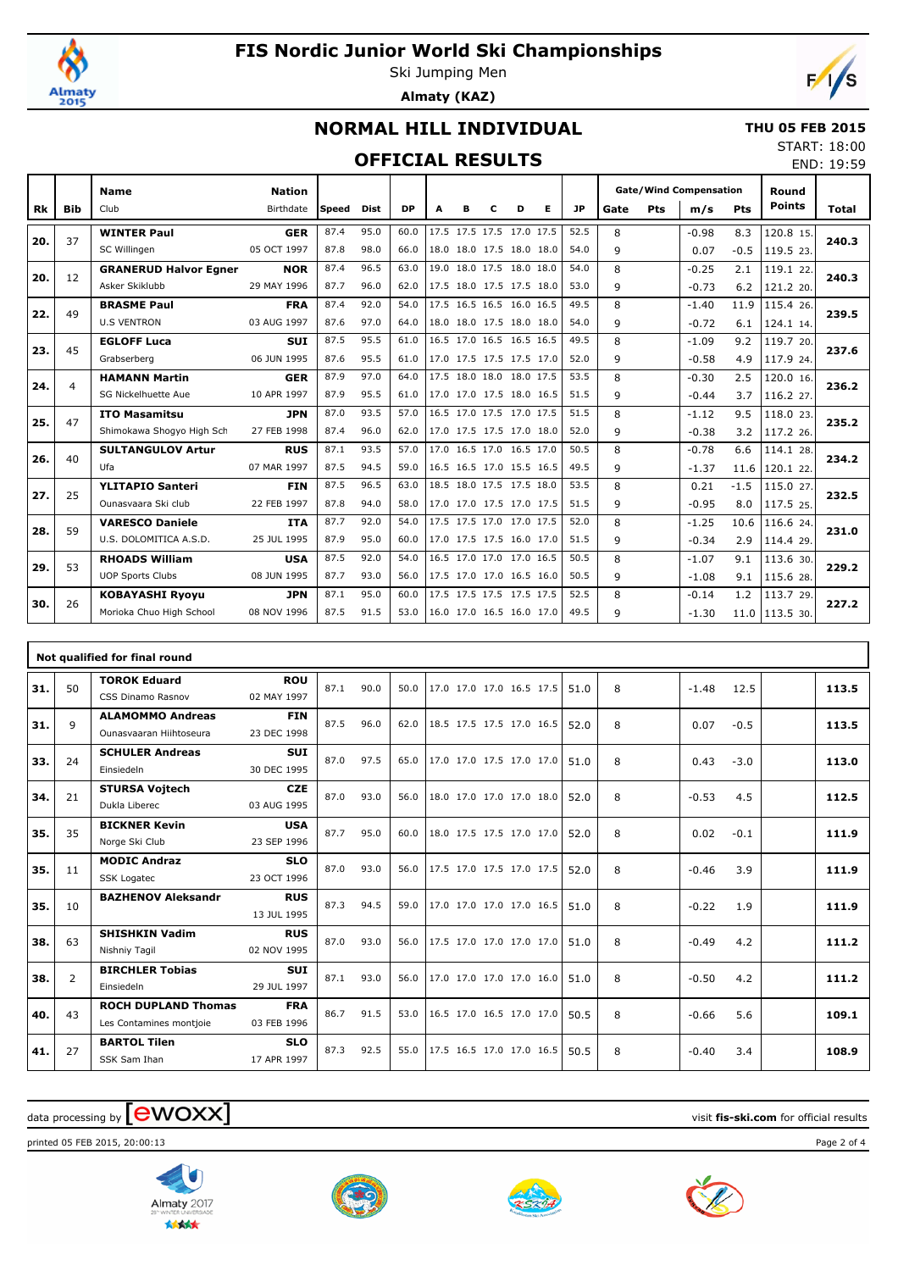

# **FIS Nordic Junior World Ski Championships**

Ski Jumping Men **Almaty (KAZ)**



## **NORMAL HILL INDIVIDUAL**

#### **THU 05 FEB 2015** START: 18:00

#### **OF**

|      | <b>OFFICIAL RESULTS</b><br>END: 19:59                           |                              |             |       |      |                         |      |   |                     |   |                            |      |      |     |           |     |                     |              |  |
|------|-----------------------------------------------------------------|------------------------------|-------------|-------|------|-------------------------|------|---|---------------------|---|----------------------------|------|------|-----|-----------|-----|---------------------|--------------|--|
|      | <b>Gate/Wind Compensation</b><br>Round<br>Nation<br><b>Name</b> |                              |             |       |      |                         |      |   |                     |   |                            |      |      |     |           |     |                     |              |  |
| Rk I | <b>Bib</b>                                                      | Club                         | Birthdate   | Speed | Dist | DP.                     | A    | в | C                   | D | E.                         | JP   | Gate | Pts | m/s       | Pts | Points              | <b>Total</b> |  |
|      |                                                                 | <b>WINTER Paul</b>           | <b>GER</b>  | 87.4  | 95.0 | 60.0                    |      |   |                     |   | 17.5 17.5 17.5 17.0 17.5   | 52.5 | 8    |     | $-0.98$   | 8.3 | 120.8 15.           |              |  |
| 20.  | 37                                                              | SC Willingen                 | 05 OCT 1997 | 87.8  | 98.0 | 66.0                    |      |   |                     |   | 18.0 18.0 17.5 18.0 18.0   | 54.0 | a    |     | 0.07      |     | $-0.5$   119.5 23.  | 240.3        |  |
| 20.  |                                                                 | <b>GRANERUD Halvor Egner</b> | <b>NOR</b>  | 87.4  | 96.5 | 63.0                    | 19.0 |   | 18.0 17.5 18.0 18.0 |   |                            | 54.0 | 8    |     | $-0.25$   | 2.1 | 119.1 22.           | 240.3        |  |
| 12   |                                                                 | Asker Skiklubb               | 29 MAY 1996 | 87.7  | 96.0 | 62.0                    |      |   |                     |   | $17.5$ 18.0 17.5 17.5 18.0 | 53.0 | q    |     | $-0.73$   | 6.2 | 121.2 20.           |              |  |
|      |                                                                 | <b>DDACME Daul</b>           | ED A        | R7A   | 920  | 540 175 165 165 160 165 |      |   |                     |   |                            | 49.5 |      |     | $-1$ $AD$ |     | 11 0 111 $\sqrt{2}$ |              |  |

| 20. | 12             | <b>GRANERUD Halvor Egner</b> | <b>NOR</b>  | 87.4 | 96.5 | 63.0 | 19.0 18.0 17.5 18.0 18.0 | 54.0 | 8 | $-0.25$ | 2.1    | 119.1 22. | 240.3 |
|-----|----------------|------------------------------|-------------|------|------|------|--------------------------|------|---|---------|--------|-----------|-------|
|     |                | Asker Skiklubb               | 29 MAY 1996 | 87.7 | 96.0 | 62.0 | 17.5 18.0 17.5 17.5 18.0 | 53.0 | 9 | $-0.73$ | 6.2    | 121.2 20. |       |
| 22. | 49             | <b>BRASME Paul</b>           | <b>FRA</b>  | 87.4 | 92.0 | 54.0 | 17.5 16.5 16.5 16.0 16.5 | 49.5 | 8 | $-1.40$ | 11.9   | 115.4 26. | 239.5 |
|     |                | <b>U.S VENTRON</b>           | 03 AUG 1997 | 87.6 | 97.0 | 64.0 | 18.0 18.0 17.5 18.0 18.0 | 54.0 | 9 | $-0.72$ | 6.1    | 124.1 14. |       |
| 23. | 45             | <b>EGLOFF Luca</b>           | <b>SUI</b>  | 87.5 | 95.5 | 61.0 | 16.5 17.0 16.5 16.5 16.5 | 49.5 | 8 | $-1.09$ | 9.2    | 119.7 20. | 237.6 |
|     |                | Grabserberg                  | 06 JUN 1995 | 87.6 | 95.5 | 61.0 | 17.0 17.5 17.5 17.5 17.0 | 52.0 | 9 | $-0.58$ | 4.9    | 117.9 24. |       |
| 24. | $\overline{4}$ | <b>HAMANN Martin</b>         | <b>GER</b>  | 87.9 | 97.0 | 64.0 | 17.5 18.0 18.0 18.0 17.5 | 53.5 | 8 | $-0.30$ | 2.5    | 120.0 16. | 236.2 |
|     |                | SG Nickelhuette Aue          | 10 APR 1997 | 87.9 | 95.5 | 61.0 | 17.0 17.0 17.5 18.0 16.5 | 51.5 | 9 | $-0.44$ | 3.7    | 116.2 27. |       |
| 25. | 47             | <b>ITO Masamitsu</b>         | <b>JPN</b>  | 87.0 | 93.5 | 57.0 | 16.5 17.0 17.5 17.0 17.5 | 51.5 | 8 | $-1.12$ | 9.5    | 118.0 23. | 235.2 |
|     |                | Shimokawa Shoqyo High Sch    | 27 FEB 1998 | 87.4 | 96.0 | 62.0 | 17.0 17.5 17.5 17.0 18.0 | 52.0 | 9 | $-0.38$ | 3.2    | 117.2 26. |       |
| 26. | 40             | <b>SULTANGULOV Artur</b>     | <b>RUS</b>  | 87.1 | 93.5 | 57.0 | 17.0 16.5 17.0 16.5 17.0 | 50.5 | 8 | $-0.78$ | 6.6    | 114.1 28. | 234.2 |
|     |                | Ufa                          | 07 MAR 1997 | 87.5 | 94.5 | 59.0 | 16.5 16.5 17.0 15.5 16.5 | 49.5 | 9 | $-1.37$ | 11.6   | 120.1 22. |       |
| 27. | 25             | <b>YLITAPIO Santeri</b>      | <b>FIN</b>  | 87.5 | 96.5 | 63.0 | 18.5 18.0 17.5 17.5 18.0 | 53.5 | 8 | 0.21    | $-1.5$ | 115.0 27. | 232.5 |
|     |                | Ounasyaara Ski club          | 22 FEB 1997 | 87.8 | 94.0 | 58.0 | 17.0 17.0 17.5 17.0 17.5 | 51.5 | 9 | $-0.95$ | 8.0    | 117.5 25. |       |
| 28. | 59             | <b>VARESCO Daniele</b>       | <b>ITA</b>  | 87.7 | 92.0 | 54.0 | 17.5 17.5 17.0 17.0 17.5 | 52.0 | 8 | $-1.25$ | 10.6   | 116.6 24. | 231.0 |
|     |                | U.S. DOLOMITICA A.S.D.       | 25 JUL 1995 | 87.9 | 95.0 | 60.0 | 17.0 17.5 17.5 16.0 17.0 | 51.5 | 9 | $-0.34$ | 2.9    | 114.4 29. |       |
| 29. | 53             | <b>RHOADS William</b>        | <b>USA</b>  | 87.5 | 92.0 | 54.0 | 16.5 17.0 17.0 17.0 16.5 | 50.5 | 8 | $-1.07$ | 9.1    | 113.6 30. | 229.2 |
|     |                | <b>UOP Sports Clubs</b>      | 08 JUN 1995 | 87.7 | 93.0 | 56.0 | 17.5 17.0 17.0 16.5 16.0 | 50.5 | 9 | $-1.08$ | 9.1    | 115.6 28. |       |
| 30. |                | <b>KOBAYASHI Ryoyu</b>       | <b>JPN</b>  | 87.1 | 95.0 | 60.0 | 17.5 17.5 17.5 17.5 17.5 | 52.5 | 8 | $-0.14$ | 1.2    | 113.7 29. | 227.2 |
|     | 26             |                              |             |      |      |      |                          |      |   |         |        |           |       |

|     |                | Not qualified for final round                         |                           |      |      |      |                          |  |      |   |         |        |       |
|-----|----------------|-------------------------------------------------------|---------------------------|------|------|------|--------------------------|--|------|---|---------|--------|-------|
| 31. | 50             | <b>TOROK Eduard</b><br>CSS Dinamo Rasnov              | <b>ROU</b><br>02 MAY 1997 | 87.1 | 90.0 | 50.0 | 17.0 17.0 17.0 16.5 17.5 |  | 51.0 | 8 | $-1.48$ | 12.5   | 113.5 |
| 31. | 9              | <b>ALAMOMMO Andreas</b><br>Qunasyaaran Hiihtoseura    | <b>FIN</b><br>23 DEC 1998 | 87.5 | 96.0 | 62.0 | 18.5 17.5 17.5 17.0 16.5 |  | 52.0 | 8 | 0.07    | $-0.5$ | 113.5 |
| 33. | 24             | <b>SCHULER Andreas</b><br>Einsiedeln                  | <b>SUI</b><br>30 DEC 1995 | 87.0 | 97.5 | 65.0 | 17.0 17.0 17.5 17.0 17.0 |  | 51.0 | 8 | 0.43    | $-3.0$ | 113.0 |
| 34. | 21             | <b>STURSA Vojtech</b><br>Dukla Liberec                | <b>CZE</b><br>03 AUG 1995 | 87.0 | 93.0 | 56.0 | 18.0 17.0 17.0 17.0 18.0 |  | 52.0 | 8 | $-0.53$ | 4.5    | 112.5 |
| 35. | 35             | <b>BICKNER Kevin</b><br>Norge Ski Club                | <b>USA</b><br>23 SEP 1996 | 87.7 | 95.0 | 60.0 | 18.0 17.5 17.5 17.0 17.0 |  | 52.0 | 8 | 0.02    | $-0.1$ | 111.9 |
| 35. | 11             | <b>MODIC Andraz</b><br><b>SSK Logatec</b>             | <b>SLO</b><br>23 OCT 1996 | 87.0 | 93.0 | 56.0 | 17.5 17.0 17.5 17.0 17.5 |  | 52.0 | 8 | $-0.46$ | 3.9    | 111.9 |
| 35. | 10             | <b>BAZHENOV Aleksandr</b>                             | <b>RUS</b><br>13 JUL 1995 | 87.3 | 94.5 | 59.0 | 17.0 17.0 17.0 17.0 16.5 |  | 51.0 | 8 | $-0.22$ | 1.9    | 111.9 |
| 38. | 63             | <b>SHISHKIN Vadim</b><br>Nishniy Tagil                | <b>RUS</b><br>02 NOV 1995 | 87.0 | 93.0 | 56.0 | 17.5 17.0 17.0 17.0 17.0 |  | 51.0 | 8 | $-0.49$ | 4.2    | 111.2 |
| 38. | $\overline{2}$ | <b>BIRCHLER Tobias</b><br>Einsiedeln                  | <b>SUI</b><br>29 JUL 1997 | 87.1 | 93.0 | 56.0 | 17.0 17.0 17.0 17.0 16.0 |  | 51.0 | 8 | $-0.50$ | 4.2    | 111.2 |
| 40. | 43             | <b>ROCH DUPLAND Thomas</b><br>Les Contamines montjoie | <b>FRA</b><br>03 FEB 1996 | 86.7 | 91.5 | 53.0 | 16.5 17.0 16.5 17.0 17.0 |  | 50.5 | 8 | $-0.66$ | 5.6    | 109.1 |
| 41. | 27             | <b>BARTOL Tilen</b><br>SSK Sam Ihan                   | <b>SLO</b><br>17 APR 1997 | 87.3 | 92.5 | 55.0 | 17.5 16.5 17.0 17.0 16.5 |  | 50.5 | 8 | $-0.40$ | 3.4    | 108.9 |

# data processing by **CWOXX** and  $\overline{C}$  and  $\overline{C}$  and  $\overline{C}$  and  $\overline{C}$  and  $\overline{C}$  and  $\overline{C}$  and  $\overline{C}$  and  $\overline{C}$  and  $\overline{C}$  and  $\overline{C}$  and  $\overline{C}$  and  $\overline{C}$  and  $\overline{C}$  and  $\overline{C}$  and  $\overline{C}$

printed 05 FEB 2015, 20:00:13 Page 2 of 4







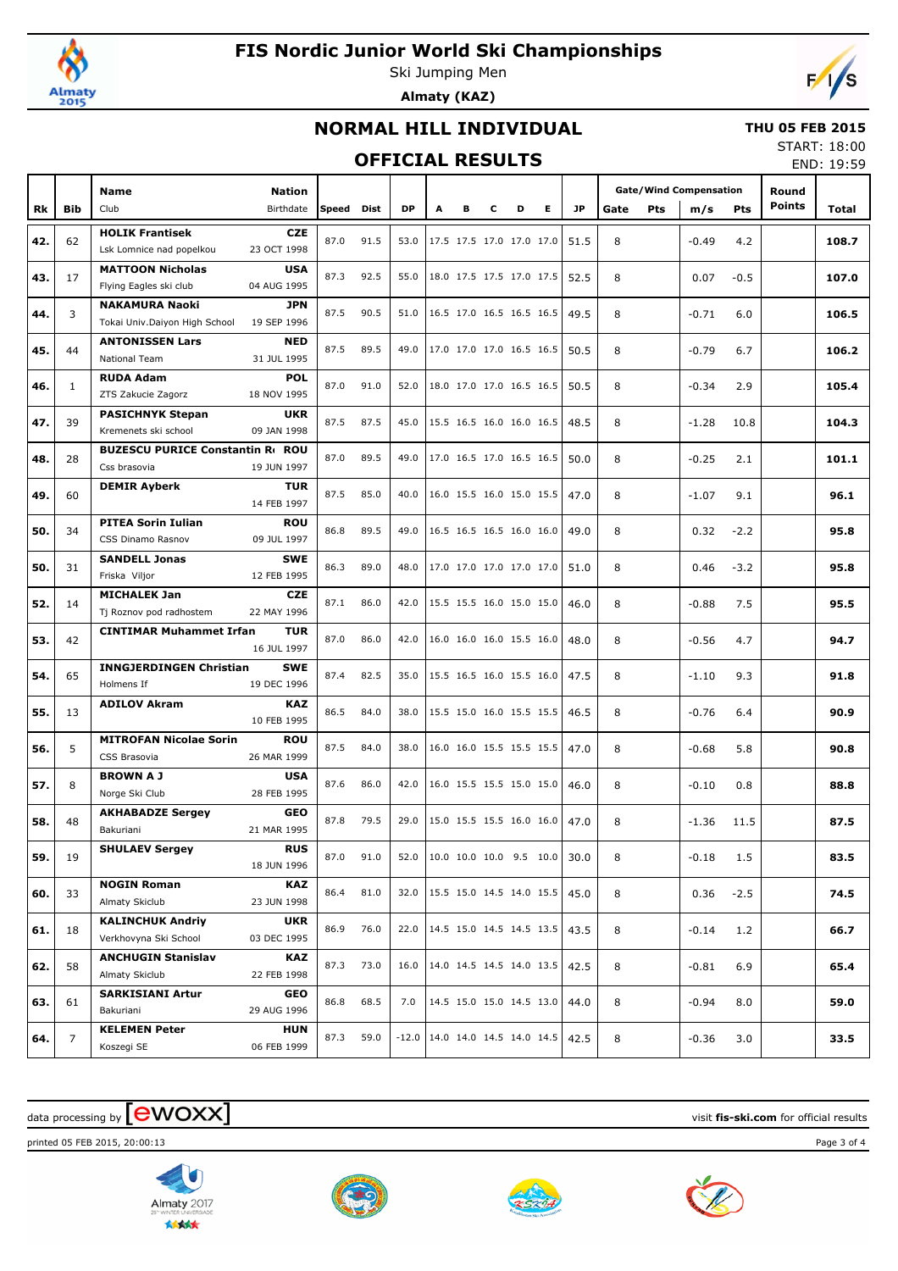

# **FIS Nordic Junior World Ski Championships**

Ski Jumping Men **Almaty (KAZ)**



### **NORMAL HILL INDIVIDUAL**

#### **THU 05 FEB 2015**

### **OFFICIAL RESULTS**

START: 18:00 END: 19:59

|     |                |                                                                     |            |      |         |                          |   |   |   |   |           |      |     |                               |            |               | END: 19:29 |
|-----|----------------|---------------------------------------------------------------------|------------|------|---------|--------------------------|---|---|---|---|-----------|------|-----|-------------------------------|------------|---------------|------------|
|     |                | Name<br><b>Nation</b>                                               |            |      |         |                          |   |   |   |   |           |      |     | <b>Gate/Wind Compensation</b> |            | Round         |            |
| Rk  | <b>Bib</b>     | Club<br>Birthdate                                                   | Speed Dist |      | DP      | A                        | в | с | D | Е | <b>JP</b> | Gate | Pts | m/s                           | <b>Pts</b> | <b>Points</b> | Total      |
|     |                | <b>HOLIK Frantisek</b><br><b>CZE</b>                                |            |      |         |                          |   |   |   |   |           |      |     |                               |            |               |            |
| 42. | 62             | 23 OCT 1998<br>Lsk Lomnice nad popelkou                             | 87.0       | 91.5 | 53.0    | 17.5 17.5 17.0 17.0 17.0 |   |   |   |   | 51.5      | 8    |     | $-0.49$                       | 4.2        |               | 108.7      |
|     | 17             | <b>MATTOON Nicholas</b><br><b>USA</b>                               | 87.3       | 92.5 | 55.0    | 18.0 17.5 17.5 17.0 17.5 |   |   |   |   | 52.5      | 8    |     | 0.07                          | $-0.5$     |               | 107.0      |
| 43. |                | 04 AUG 1995<br>Flying Eagles ski club                               |            |      |         |                          |   |   |   |   |           |      |     |                               |            |               |            |
| 44. | 3              | <b>NAKAMURA Naoki</b><br>JPN                                        | 87.5       | 90.5 | 51.0    | 16.5 17.0 16.5 16.5 16.5 |   |   |   |   | 49.5      | 8    |     | $-0.71$                       | 6.0        |               | 106.5      |
|     |                | 19 SEP 1996<br>Tokai Univ.Daiyon High School                        |            |      |         |                          |   |   |   |   |           |      |     |                               |            |               |            |
| 45. | 44             | <b>ANTONISSEN Lars</b><br><b>NED</b>                                | 87.5       | 89.5 | 49.0    | 17.0 17.0 17.0 16.5 16.5 |   |   |   |   | 50.5      | 8    |     | $-0.79$                       | 6.7        |               | 106.2      |
|     |                | National Team<br>31 JUL 1995                                        |            |      |         |                          |   |   |   |   |           |      |     |                               |            |               |            |
| 46. | $\mathbf{1}$   | <b>RUDA Adam</b><br><b>POL</b><br>18 NOV 1995<br>ZTS Zakucie Zagorz | 87.0       | 91.0 | 52.0    | 18.0 17.0 17.0 16.5 16.5 |   |   |   |   | 50.5      | 8    |     | $-0.34$                       | 2.9        |               | 105.4      |
|     |                | <b>PASICHNYK Stepan</b><br><b>UKR</b>                               |            |      |         |                          |   |   |   |   |           |      |     |                               |            |               |            |
| 47. | 39             | 09 JAN 1998<br>Kremenets ski school                                 | 87.5       | 87.5 | 45.0    | 15.5 16.5 16.0 16.0 16.5 |   |   |   |   | 48.5      | 8    |     | $-1.28$                       | 10.8       |               | 104.3      |
|     |                | <b>BUZESCU PURICE Constantin Rt ROU</b>                             |            |      |         |                          |   |   |   |   |           |      |     |                               |            |               |            |
| 48. | 28             | Css brasovia<br>19 JUN 1997                                         | 87.0       | 89.5 | 49.0    | 17.0 16.5 17.0 16.5 16.5 |   |   |   |   | 50.0      | 8    |     | $-0.25$                       | 2.1        |               | 101.1      |
|     |                | <b>DEMIR Ayberk</b><br><b>TUR</b>                                   |            |      |         |                          |   |   |   |   |           |      |     |                               |            |               |            |
| 49. | 60             | 14 FEB 1997                                                         | 87.5       | 85.0 | 40.0    | 16.0 15.5 16.0 15.0 15.5 |   |   |   |   | 47.0      | 8    |     | $-1.07$                       | 9.1        |               | 96.1       |
| 50. | 34             | <b>PITEA Sorin Iulian</b><br><b>ROU</b>                             | 86.8       | 89.5 | 49.0    | 16.5 16.5 16.5 16.0 16.0 |   |   |   |   | 49.0      | 8    |     | 0.32                          | $-2.2$     |               | 95.8       |
|     |                | CSS Dinamo Rasnov<br>09 JUL 1997                                    |            |      |         |                          |   |   |   |   |           |      |     |                               |            |               |            |
| 50. | 31             | <b>SANDELL Jonas</b><br><b>SWE</b>                                  | 86.3       | 89.0 | 48.0    | 17.0 17.0 17.0 17.0 17.0 |   |   |   |   | 51.0      | 8    |     | 0.46                          | $-3.2$     |               | 95.8       |
|     |                | 12 FEB 1995<br>Friska Viljor                                        |            |      |         |                          |   |   |   |   |           |      |     |                               |            |               |            |
| 52. | 14             | <b>MICHALEK Jan</b><br><b>CZE</b>                                   | 87.1       | 86.0 | 42.0    | 15.5 15.5 16.0 15.0 15.0 |   |   |   |   | 46.0      | 8    |     | $-0.88$                       | 7.5        |               | 95.5       |
|     |                | 22 MAY 1996<br>Tj Roznov pod radhostem<br><b>TUR</b>                |            |      |         |                          |   |   |   |   |           |      |     |                               |            |               |            |
| 53. | 42             | <b>CINTIMAR Muhammet Irfan</b><br>16 JUL 1997                       | 87.0       | 86.0 | 42.0    | 16.0 16.0 16.0 15.5 16.0 |   |   |   |   | 48.0      | 8    |     | $-0.56$                       | 4.7        |               | 94.7       |
|     |                | <b>INNGJERDINGEN Christian</b><br><b>SWE</b>                        |            |      |         |                          |   |   |   |   |           |      |     |                               |            |               |            |
| 54. | 65             | 19 DEC 1996<br>Holmens If                                           | 87.4       | 82.5 | 35.0    | 15.5 16.5 16.0 15.5 16.0 |   |   |   |   | 47.5      | 8    |     | $-1.10$                       | 9.3        |               | 91.8       |
|     |                | <b>ADILOV Akram</b><br><b>KAZ</b>                                   |            |      |         |                          |   |   |   |   |           |      |     |                               |            |               |            |
| 55. | 13             | 10 FEB 1995                                                         | 86.5       | 84.0 | 38.0    | 15.5 15.0 16.0 15.5 15.5 |   |   |   |   | 46.5      | 8    |     | $-0.76$                       | 6.4        |               | 90.9       |
| 56. | 5              | <b>MITROFAN Nicolae Sorin</b><br><b>ROU</b>                         | 87.5       | 84.0 | 38.0    | 16.0 16.0 15.5 15.5 15.5 |   |   |   |   | 47.0      | 8    |     | $-0.68$                       | 5.8        |               | 90.8       |
|     |                | 26 MAR 1999<br>CSS Brasovia                                         |            |      |         |                          |   |   |   |   |           |      |     |                               |            |               |            |
| 57. | 8              | <b>BROWNAJ</b><br><b>USA</b>                                        | 87.6       | 86.0 | 42.0    | 16.0 15.5 15.5 15.0 15.0 |   |   |   |   | 46.0      | 8    |     | $-0.10$                       | 0.8        |               | 88.8       |
|     |                | 28 FEB 1995<br>Norge Ski Club                                       |            |      |         |                          |   |   |   |   |           |      |     |                               |            |               |            |
| 58. | 48             | <b>AKHABADZE Sergey</b><br><b>GEO</b><br>21 MAR 1995<br>Bakuriani   | 87.8       | 79.5 | 29.0    | 15.0 15.5 15.5 16.0 16.0 |   |   |   |   | 47.0      | 8    |     | $-1.36$                       | 11.5       |               | 87.5       |
|     |                | <b>RUS</b><br><b>SHULAEV Sergey</b>                                 |            |      |         |                          |   |   |   |   |           |      |     |                               |            |               |            |
| 59. | 19             | 18 JUN 1996                                                         | 87.0       | 91.0 | 52.0    | 10.0 10.0 10.0 9.5 10.0  |   |   |   |   | 30.0      | 8    |     | $-0.18$                       | 1.5        |               | 83.5       |
|     |                | <b>NOGIN Roman</b><br><b>KAZ</b>                                    |            |      |         |                          |   |   |   |   |           |      |     |                               |            |               |            |
| 60. | 33             | Almaty Skiclub<br>23 JUN 1998                                       | 86.4       | 81.0 | 32.0    | 15.5 15.0 14.5 14.0 15.5 |   |   |   |   | 45.0      | 8    |     | 0.36                          | $-2.5$     |               | 74.5       |
|     | 18             | <b>KALINCHUK Andriy</b><br><b>UKR</b>                               | 86.9       | 76.0 | 22.0    | 14.5 15.0 14.5 14.5 13.5 |   |   |   |   | 43.5      | 8    |     | $-0.14$                       | 1.2        |               | 66.7       |
| 61. |                | Verkhovyna Ski School<br>03 DEC 1995                                |            |      |         |                          |   |   |   |   |           |      |     |                               |            |               |            |
| 62. | 58             | <b>ANCHUGIN Stanislav</b><br><b>KAZ</b>                             | 87.3       | 73.0 | 16.0    | 14.0 14.5 14.5 14.0 13.5 |   |   |   |   | 42.5      | 8    |     | $-0.81$                       | 6.9        |               | 65.4       |
|     |                | 22 FEB 1998<br>Almaty Skiclub                                       |            |      |         |                          |   |   |   |   |           |      |     |                               |            |               |            |
| 63. | 61             | <b>SARKISIANI Artur</b><br>GEO                                      | 86.8       | 68.5 | 7.0     | 14.5 15.0 15.0 14.5 13.0 |   |   |   |   | 44.0      | 8    |     | $-0.94$                       | 8.0        |               | 59.0       |
|     |                | Bakuriani<br>29 AUG 1996                                            |            |      |         |                          |   |   |   |   |           |      |     |                               |            |               |            |
| 64. | $\overline{7}$ | <b>KELEMEN Peter</b><br><b>HUN</b>                                  | 87.3       | 59.0 | $-12.0$ | 14.0 14.0 14.5 14.0 14.5 |   |   |   |   | 42.5      | 8    |     | $-0.36$                       | 3.0        |               | 33.5       |
|     |                | 06 FEB 1999<br>Koszegi SE                                           |            |      |         |                          |   |   |   |   |           |      |     |                               |            |               |            |

## $\alpha$  data processing by  $\boxed{\text{ewOX}}$

printed 05 FEB 2015, 20:00:13 Page 3 of 4